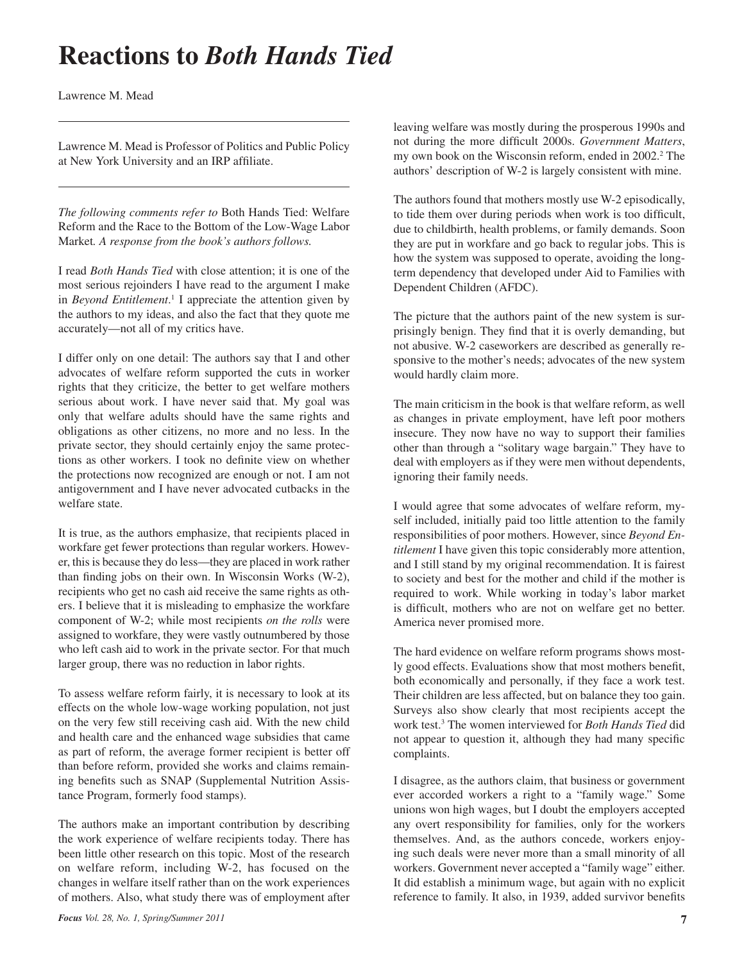## **Reactions to** *Both Hands Tied*

Lawrence M. Mead

Lawrence M. Mead is Professor of Politics and Public Policy at New York University and an IRP affiliate.

*The following comments refer to* Both Hands Tied: Welfare Reform and the Race to the Bottom of the Low-Wage Labor Market*. A response from the book's authors follows.*

I read *Both Hands Tied* with close attention; it is one of the most serious rejoinders I have read to the argument I make in *Beyond Entitlement*.<sup>1</sup> I appreciate the attention given by the authors to my ideas, and also the fact that they quote me accurately—not all of my critics have.

I differ only on one detail: The authors say that I and other advocates of welfare reform supported the cuts in worker rights that they criticize, the better to get welfare mothers serious about work. I have never said that. My goal was only that welfare adults should have the same rights and obligations as other citizens, no more and no less. In the private sector, they should certainly enjoy the same protections as other workers. I took no definite view on whether the protections now recognized are enough or not. I am not antigovernment and I have never advocated cutbacks in the welfare state.

It is true, as the authors emphasize, that recipients placed in workfare get fewer protections than regular workers. However, this is because they do less—they are placed in work rather than finding jobs on their own. In Wisconsin Works (W-2), recipients who get no cash aid receive the same rights as others. I believe that it is misleading to emphasize the workfare component of W-2; while most recipients *on the rolls* were assigned to workfare, they were vastly outnumbered by those who left cash aid to work in the private sector. For that much larger group, there was no reduction in labor rights.

To assess welfare reform fairly, it is necessary to look at its effects on the whole low-wage working population, not just on the very few still receiving cash aid. With the new child and health care and the enhanced wage subsidies that came as part of reform, the average former recipient is better off than before reform, provided she works and claims remaining benefits such as SNAP (Supplemental Nutrition Assistance Program, formerly food stamps).

The authors make an important contribution by describing the work experience of welfare recipients today. There has been little other research on this topic. Most of the research on welfare reform, including W-2, has focused on the changes in welfare itself rather than on the work experiences of mothers. Also, what study there was of employment after

*Focus Vol. 28, No. 1, Spring/Summer 2011*

leaving welfare was mostly during the prosperous 1990s and not during the more difficult 2000s. *Government Matters*, my own book on the Wisconsin reform, ended in 2002.<sup>2</sup> The authors' description of W-2 is largely consistent with mine.

The authors found that mothers mostly use W-2 episodically, to tide them over during periods when work is too difficult, due to childbirth, health problems, or family demands. Soon they are put in workfare and go back to regular jobs. This is how the system was supposed to operate, avoiding the longterm dependency that developed under Aid to Families with Dependent Children (AFDC).

The picture that the authors paint of the new system is surprisingly benign. They find that it is overly demanding, but not abusive. W-2 caseworkers are described as generally responsive to the mother's needs; advocates of the new system would hardly claim more.

The main criticism in the book is that welfare reform, as well as changes in private employment, have left poor mothers insecure. They now have no way to support their families other than through a "solitary wage bargain." They have to deal with employers as if they were men without dependents, ignoring their family needs.

I would agree that some advocates of welfare reform, myself included, initially paid too little attention to the family responsibilities of poor mothers. However, since *Beyond Entitlement* I have given this topic considerably more attention, and I still stand by my original recommendation. It is fairest to society and best for the mother and child if the mother is required to work. While working in today's labor market is difficult, mothers who are not on welfare get no better. America never promised more.

The hard evidence on welfare reform programs shows mostly good effects. Evaluations show that most mothers benefit, both economically and personally, if they face a work test. Their children are less affected, but on balance they too gain. Surveys also show clearly that most recipients accept the work test.3 The women interviewed for *Both Hands Tied* did not appear to question it, although they had many specific complaints.

I disagree, as the authors claim, that business or government ever accorded workers a right to a "family wage." Some unions won high wages, but I doubt the employers accepted any overt responsibility for families, only for the workers themselves. And, as the authors concede, workers enjoying such deals were never more than a small minority of all workers. Government never accepted a "family wage" either. It did establish a minimum wage, but again with no explicit reference to family. It also, in 1939, added survivor benefits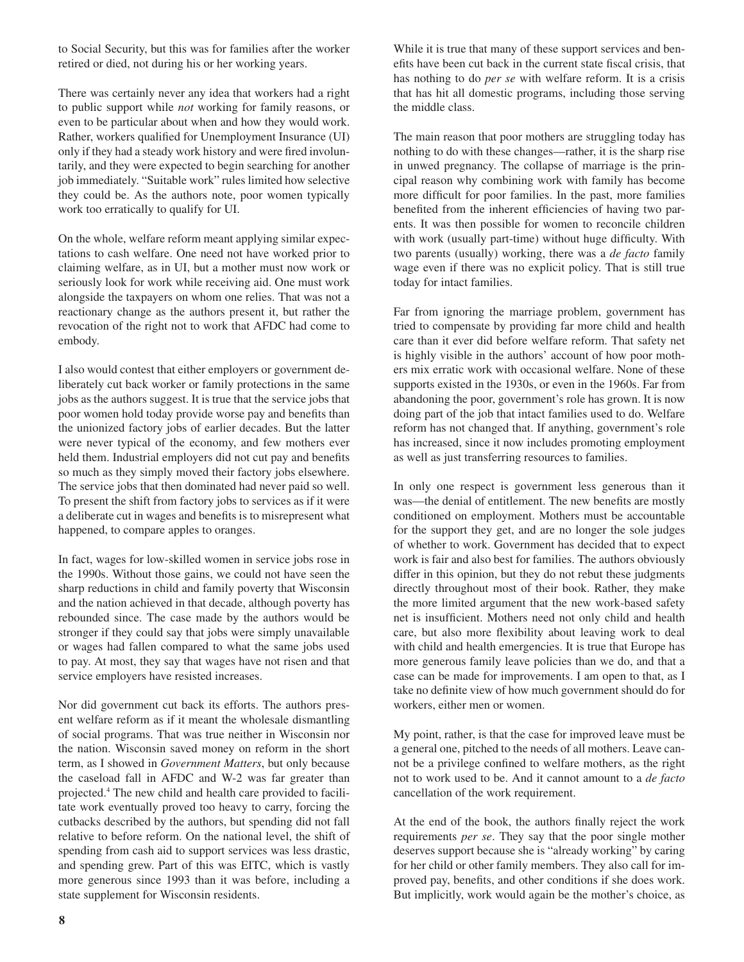to Social Security, but this was for families after the worker retired or died, not during his or her working years.

There was certainly never any idea that workers had a right to public support while *not* working for family reasons, or even to be particular about when and how they would work. Rather, workers qualified for Unemployment Insurance (UI) only if they had a steady work history and were fired involuntarily, and they were expected to begin searching for another job immediately. "Suitable work" rules limited how selective they could be. As the authors note, poor women typically work too erratically to qualify for UI.

On the whole, welfare reform meant applying similar expectations to cash welfare. One need not have worked prior to claiming welfare, as in UI, but a mother must now work or seriously look for work while receiving aid. One must work alongside the taxpayers on whom one relies. That was not a reactionary change as the authors present it, but rather the revocation of the right not to work that AFDC had come to embody.

I also would contest that either employers or government deliberately cut back worker or family protections in the same jobs as the authors suggest. It is true that the service jobs that poor women hold today provide worse pay and benefits than the unionized factory jobs of earlier decades. But the latter were never typical of the economy, and few mothers ever held them. Industrial employers did not cut pay and benefits so much as they simply moved their factory jobs elsewhere. The service jobs that then dominated had never paid so well. To present the shift from factory jobs to services as if it were a deliberate cut in wages and benefits is to misrepresent what happened, to compare apples to oranges.

In fact, wages for low-skilled women in service jobs rose in the 1990s. Without those gains, we could not have seen the sharp reductions in child and family poverty that Wisconsin and the nation achieved in that decade, although poverty has rebounded since. The case made by the authors would be stronger if they could say that jobs were simply unavailable or wages had fallen compared to what the same jobs used to pay. At most, they say that wages have not risen and that service employers have resisted increases.

Nor did government cut back its efforts. The authors present welfare reform as if it meant the wholesale dismantling of social programs. That was true neither in Wisconsin nor the nation. Wisconsin saved money on reform in the short term, as I showed in *Government Matters*, but only because the caseload fall in AFDC and W-2 was far greater than projected.4 The new child and health care provided to facilitate work eventually proved too heavy to carry, forcing the cutbacks described by the authors, but spending did not fall relative to before reform. On the national level, the shift of spending from cash aid to support services was less drastic, and spending grew. Part of this was EITC, which is vastly more generous since 1993 than it was before, including a state supplement for Wisconsin residents.

While it is true that many of these support services and benefits have been cut back in the current state fiscal crisis, that has nothing to do *per se* with welfare reform. It is a crisis that has hit all domestic programs, including those serving the middle class.

The main reason that poor mothers are struggling today has nothing to do with these changes—rather, it is the sharp rise in unwed pregnancy. The collapse of marriage is the principal reason why combining work with family has become more difficult for poor families. In the past, more families benefited from the inherent efficiencies of having two parents. It was then possible for women to reconcile children with work (usually part-time) without huge difficulty. With two parents (usually) working, there was a *de facto* family wage even if there was no explicit policy. That is still true today for intact families.

Far from ignoring the marriage problem, government has tried to compensate by providing far more child and health care than it ever did before welfare reform. That safety net is highly visible in the authors' account of how poor mothers mix erratic work with occasional welfare. None of these supports existed in the 1930s, or even in the 1960s. Far from abandoning the poor, government's role has grown. It is now doing part of the job that intact families used to do. Welfare reform has not changed that. If anything, government's role has increased, since it now includes promoting employment as well as just transferring resources to families.

In only one respect is government less generous than it was—the denial of entitlement. The new benefits are mostly conditioned on employment. Mothers must be accountable for the support they get, and are no longer the sole judges of whether to work. Government has decided that to expect work is fair and also best for families. The authors obviously differ in this opinion, but they do not rebut these judgments directly throughout most of their book. Rather, they make the more limited argument that the new work-based safety net is insufficient. Mothers need not only child and health care, but also more flexibility about leaving work to deal with child and health emergencies. It is true that Europe has more generous family leave policies than we do, and that a case can be made for improvements. I am open to that, as I take no definite view of how much government should do for workers, either men or women.

My point, rather, is that the case for improved leave must be a general one, pitched to the needs of all mothers. Leave cannot be a privilege confined to welfare mothers, as the right not to work used to be. And it cannot amount to a *de facto* cancellation of the work requirement.

At the end of the book, the authors finally reject the work requirements *per se*. They say that the poor single mother deserves support because she is "already working" by caring for her child or other family members. They also call for improved pay, benefits, and other conditions if she does work. But implicitly, work would again be the mother's choice, as